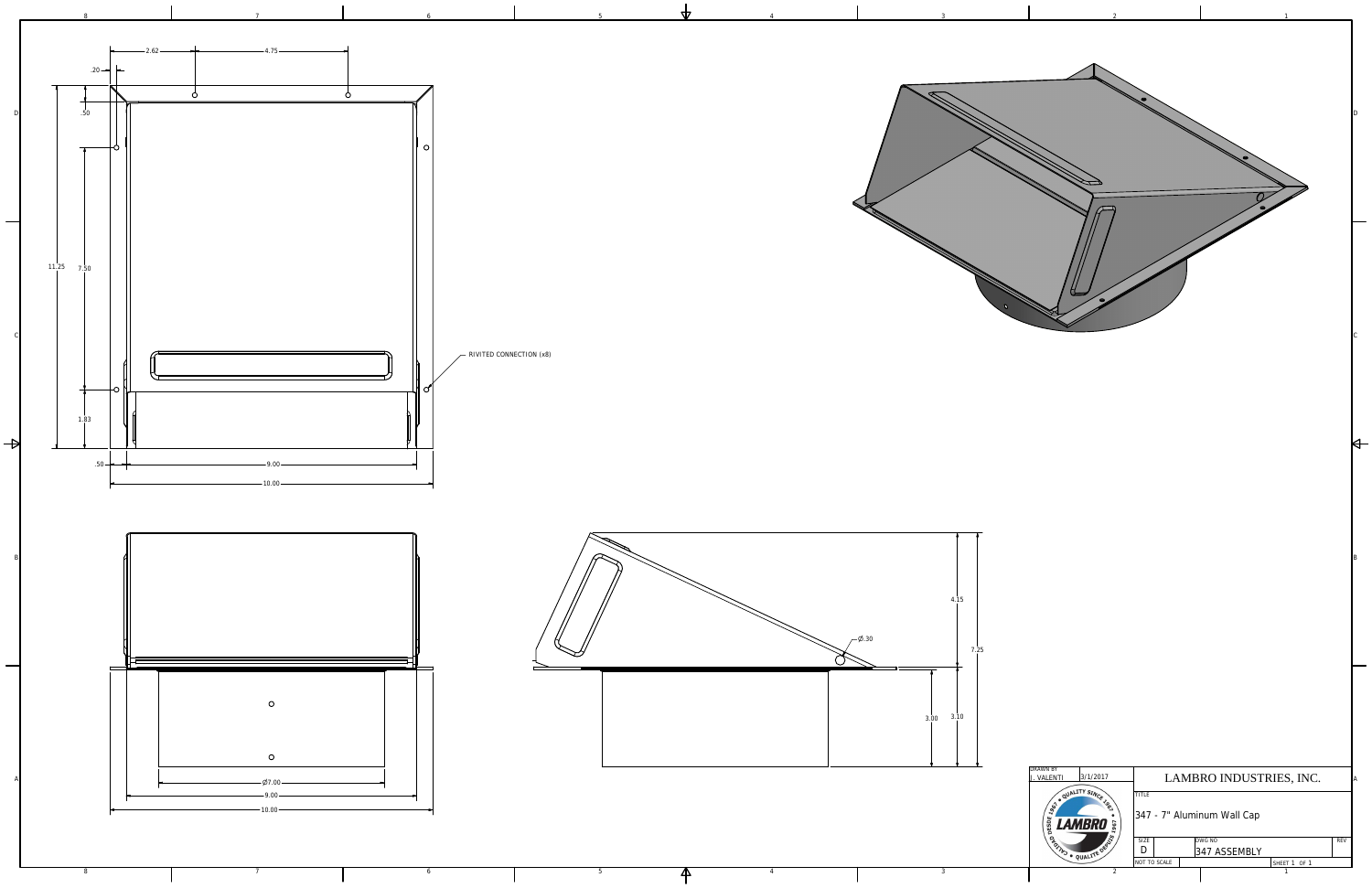

4

4

 $\blacktriangle$ 

5



5

6

7

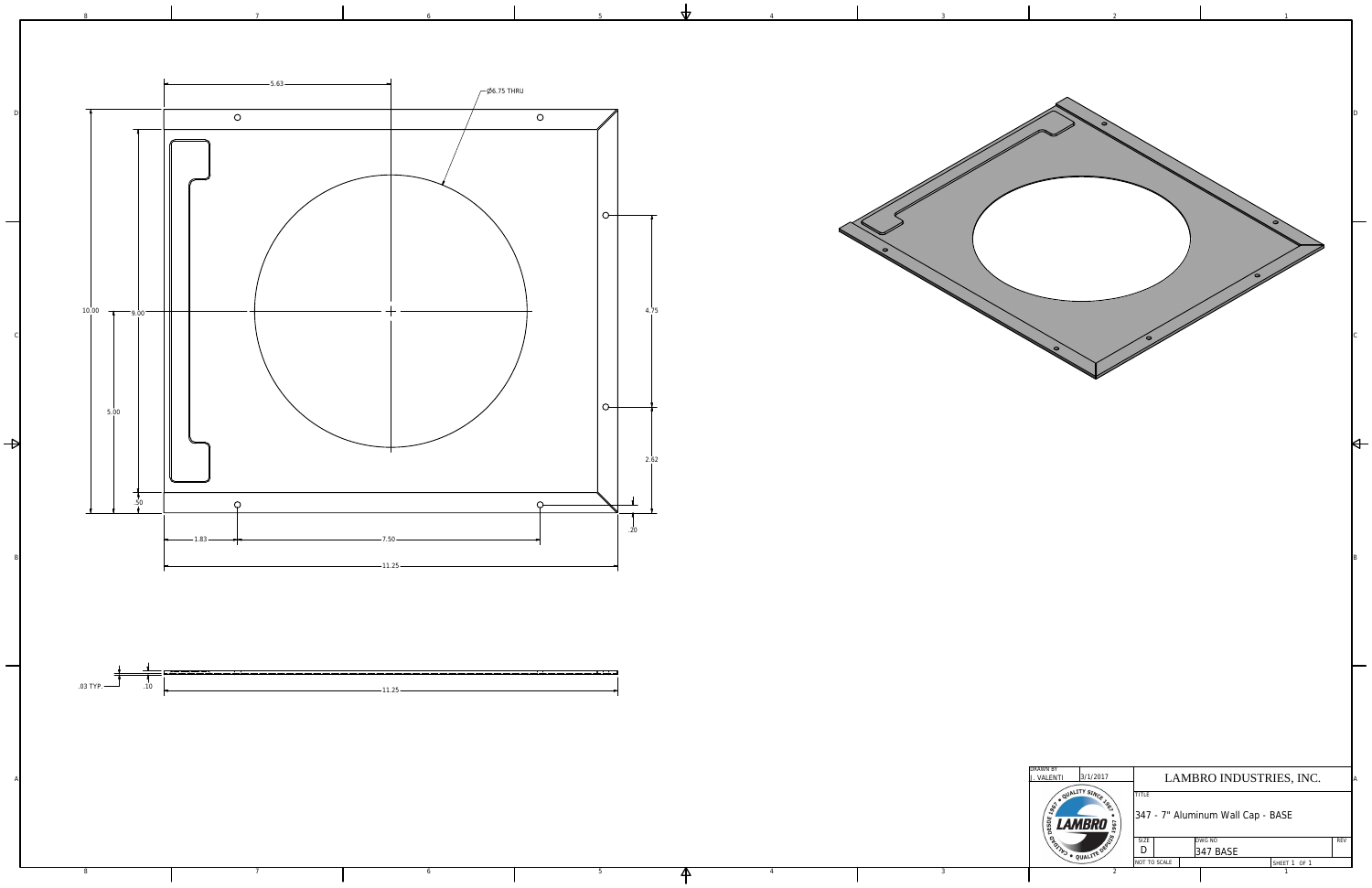

4

 $\overline{\mathsf{A}}$ 

5

6

7



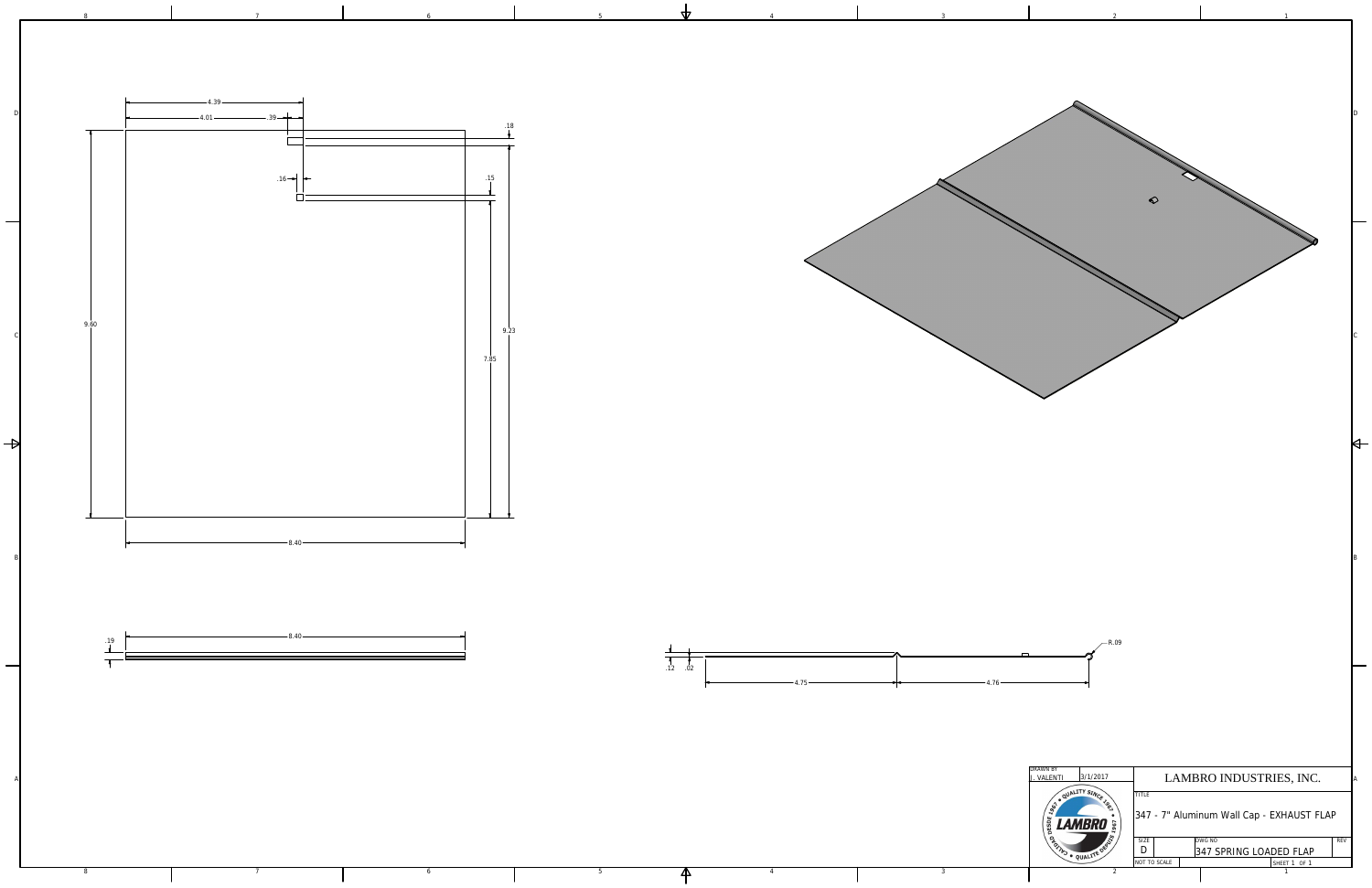

2

3

4

 $\overline{\mathsf{A}}$ 

5

6

7